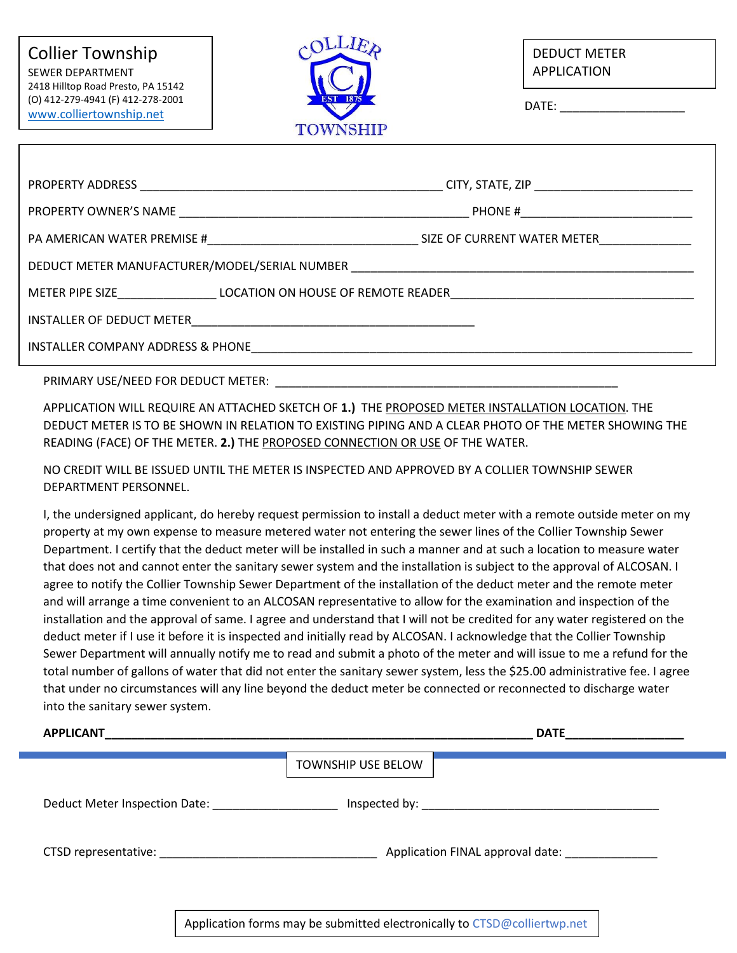

DEDUCT METER APPLICATION

DATE:

|                                                                                                                                                   | CITY, STATE, ZIP ___________________________                                                                         |  |  |  |  |  |  |  |  |
|---------------------------------------------------------------------------------------------------------------------------------------------------|----------------------------------------------------------------------------------------------------------------------|--|--|--|--|--|--|--|--|
|                                                                                                                                                   | PHONE # _______________________________                                                                              |  |  |  |  |  |  |  |  |
|                                                                                                                                                   | SIZE OF CURRENT WATER METER                                                                                          |  |  |  |  |  |  |  |  |
| DEDUCT METER MANUFACTURER/MODEL/SERIAL NUMBER                                                                                                     | <u> 1980 - Jan James James James James James James James James James James James James James James James James J</u> |  |  |  |  |  |  |  |  |
| METER PIPE SIZE <b>EXAMPLE 2018 IN A LOCATION ON HOUSE OF REMOTE READER</b>                                                                       |                                                                                                                      |  |  |  |  |  |  |  |  |
| INSTALLER OF DEDUCT METER<br><u> 2000 - 2000 - 2000 - 2000 - 2000 - 2000 - 2000 - 2000 - 2000 - 2000 - 2000 - 2000 - 2000 - 2000 - 2000 - 200</u> |                                                                                                                      |  |  |  |  |  |  |  |  |
| INSTALLER COMPANY ADDRESS & PHONE THE RESIDENCE OF A STATE OF THE RESIDENCE OF A STATE OF THE RESIDENCE OF A S                                    |                                                                                                                      |  |  |  |  |  |  |  |  |

PRIMARY USE/NEED FOR DEDUCT METER:

APPLICATION WILL REQUIRE AN ATTACHED SKETCH OF **1.)** THE PROPOSED METER INSTALLATION LOCATION. THE DEDUCT METER IS TO BE SHOWN IN RELATION TO EXISTING PIPING AND A CLEAR PHOTO OF THE METER SHOWING THE READING (FACE) OF THE METER. **2.)** THE PROPOSED CONNECTION OR USE OF THE WATER.

NO CREDIT WILL BE ISSUED UNTIL THE METER IS INSPECTED AND APPROVED BY A COLLIER TOWNSHIP SEWER DEPARTMENT PERSONNEL.

I, the undersigned applicant, do hereby request permission to install a deduct meter with a remote outside meter on my property at my own expense to measure metered water not entering the sewer lines of the Collier Township Sewer Department. I certify that the deduct meter will be installed in such a manner and at such a location to measure water that does not and cannot enter the sanitary sewer system and the installation is subject to the approval of ALCOSAN. I agree to notify the Collier Township Sewer Department of the installation of the deduct meter and the remote meter and will arrange a time convenient to an ALCOSAN representative to allow for the examination and inspection of the installation and the approval of same. I agree and understand that I will not be credited for any water registered on the deduct meter if I use it before it is inspected and initially read by ALCOSAN. I acknowledge that the Collier Township Sewer Department will annually notify me to read and submit a photo of the meter and will issue to me a refund for the total number of gallons of water that did not enter the sanitary sewer system, less the \$25.00 administrative fee. I agree that under no circumstances will any line beyond the deduct meter be connected or reconnected to discharge water into the sanitary sewer system.

| <b>APPLICANT</b>                                   |                    | <b>DATE</b>                      |
|----------------------------------------------------|--------------------|----------------------------------|
|                                                    | TOWNSHIP USE BELOW |                                  |
| Deduct Meter Inspection Date: National Meter Meter |                    |                                  |
| CTSD representative: National CTSD representative: |                    | Application FINAL approval date: |
|                                                    |                    |                                  |

Application forms may be submitted electronically to CTSD@colliertwp.net